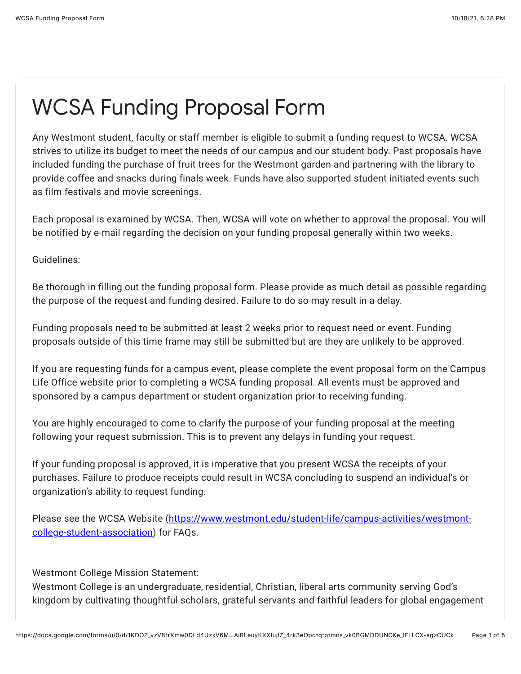## WCSA Funding Proposal Form

Any Westmont student, faculty or staff member is eligible to submit a funding request to WCSA. WCSA strives to utilize its budget to meet the needs of our campus and our student body. Past proposals have included funding the purchase of fruit trees for the Westmont garden and partnering with the library to provide coffee and snacks during finals week. Funds have also supported student initiated events such as film festivals and movie screenings.

Each proposal is examined by WCSA. Then, WCSA will vote on whether to approval the proposal. You will be notified by e-mail regarding the decision on your funding proposal generally within two weeks.

Guidelines:

Be thorough in filling out the funding proposal form. Please provide as much detail as possible regarding the purpose of the request and funding desired. Failure to do so may result in a delay.

Funding proposals need to be submitted at least 2 weeks prior to request need or event. Funding proposals outside of this time frame may still be submitted but are they are unlikely to be approved.

If you are requesting funds for a campus event, please complete the event proposal form on the Campus Life Office website prior to completing a WCSA funding proposal. All events must be approved and sponsored by a campus department or student organization prior to receiving funding.

You are highly encouraged to come to clarify the purpose of your funding proposal at the meeting following your request submission. This is to prevent any delays in funding your request.

If your funding proposal is approved, it is imperative that you present WCSA the receipts of your purchases. Failure to produce receipts could result in WCSA concluding to suspend an individual's or organization's ability to request funding.

[Please see the WCSA Website \(https://www.westmont.edu/student-life/campus-activities/westmont](https://www.google.com/url?q=https://www.westmont.edu/student-life/campus-activities/westmont-college-student-association&sa=D&source=editors&ust=1634610511597000&usg=AOvVaw1nLzl5Y4BscY781WeSMXBC)college-student-association) for FAQs.

Westmont College Mission Statement:

Westmont College is an undergraduate, residential, Christian, liberal arts community serving God's kingdom by cultivating thoughtful scholars, grateful servants and faithful leaders for global engagement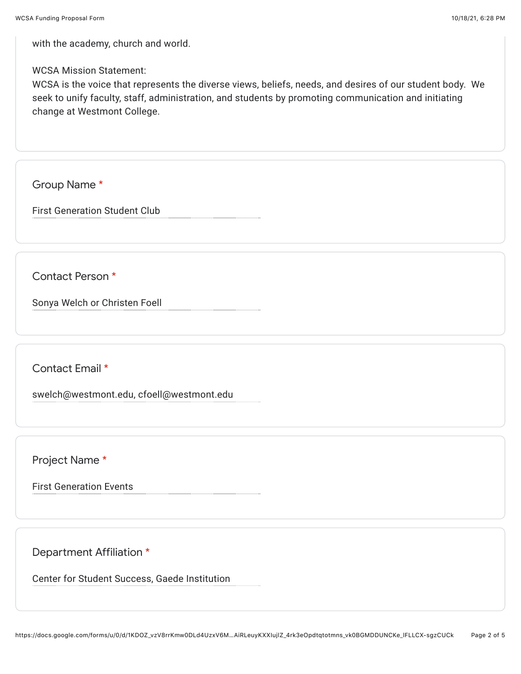with the academy, church and world.

WCSA Mission Statement:

WCSA is the voice that represents the diverse views, beliefs, needs, and desires of our student body. We seek to unify faculty, staff, administration, and students by promoting communication and initiating change at Westmont College.

Group Name \*

First Generation Student Club

Contact Person \*

Sonya Welch or Christen Foell

Contact Email \*

swelch@westmont.edu, cfoell@westmont.edu

Project Name \*

First Generation Events

Department Affiliation \*

Center for Student Success, Gaede Institution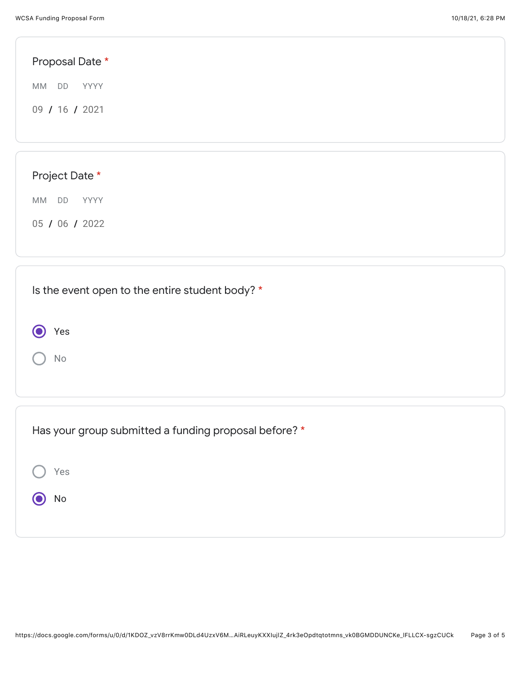Yes

 $\bigcirc$ 

No

| Proposal Date *                                 |  |  |  |
|-------------------------------------------------|--|--|--|
| MM DD<br>YYYY                                   |  |  |  |
| 09 / 16 / 2021                                  |  |  |  |
|                                                 |  |  |  |
|                                                 |  |  |  |
| Project Date *                                  |  |  |  |
| MM DD<br><b>YYYY</b>                            |  |  |  |
| 05 / 06 / 2022                                  |  |  |  |
|                                                 |  |  |  |
|                                                 |  |  |  |
| Is the event open to the entire student body? * |  |  |  |

| Has your group submitted a funding proposal before? * |  |  |  |  |
|-------------------------------------------------------|--|--|--|--|
| Yes                                                   |  |  |  |  |
| No                                                    |  |  |  |  |
|                                                       |  |  |  |  |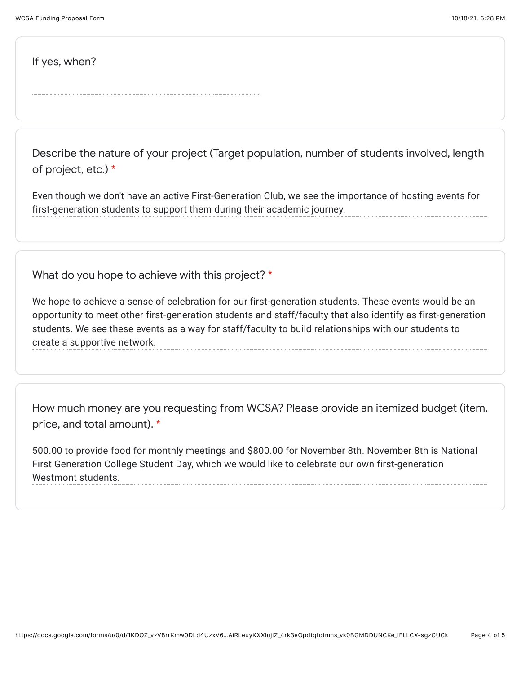If yes, when?

Describe the nature of your project (Target population, number of students involved, length of project, etc.) \*

Even though we don't have an active First-Generation Club, we see the importance of hosting events for first-generation students to support them during their academic journey.

What do you hope to achieve with this project? \*

We hope to achieve a sense of celebration for our first-generation students. These events would be an opportunity to meet other first-generation students and staff/faculty that also identify as first-generation students. We see these events as a way for staff/faculty to build relationships with our students to create a supportive network.

How much money are you requesting from WCSA? Please provide an itemized budget (item, price, and total amount). \*

500.00 to provide food for monthly meetings and \$800.00 for November 8th. November 8th is National First Generation College Student Day, which we would like to celebrate our own first-generation Westmont students.